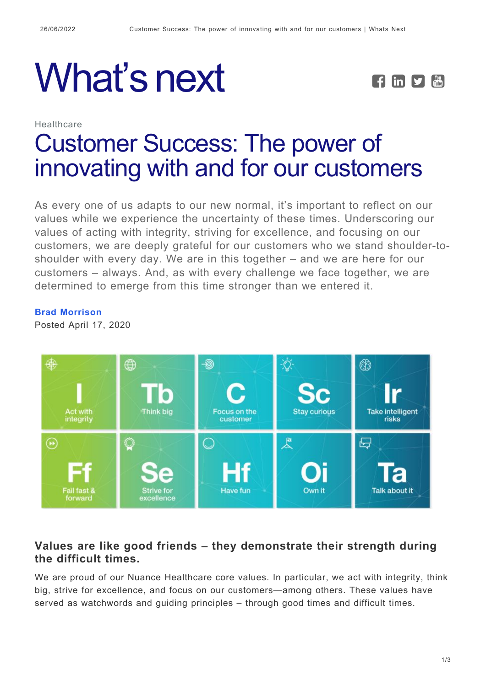# What's next **FEPE**



## Healthcare [Customer Success: The power of](https://whatsnext.nuance.com/healthcare/brad-morrison-values/) [innovating with and for our customers](https://whatsnext.nuance.com/healthcare/brad-morrison-values/)

As every one of us adapts to our new normal, it's important to reflect on our values while we experience the uncertainty of these times. Underscoring our values of acting with integrity, striving for excellence, and focusing on our customers, we are deeply grateful for our customers who we stand shoulder-toshoulder with every day. We are in this together – and we are here for our customers – always. And, as with every challenge we face together, we are determined to emerge from this time stronger than we entered it.

**[Brad Morrison](https://whatsnext.nuance.com/author/bmorrison/)**

Posted April 17, 2020



### **Values are like good friends – they demonstrate their strength during the difficult times.**

We are proud of our Nuance Healthcare core values. In particular, we act with integrity, think big, strive for excellence, and focus on our customers—among others. These values have served as watchwords and guiding principles – through good times and difficult times.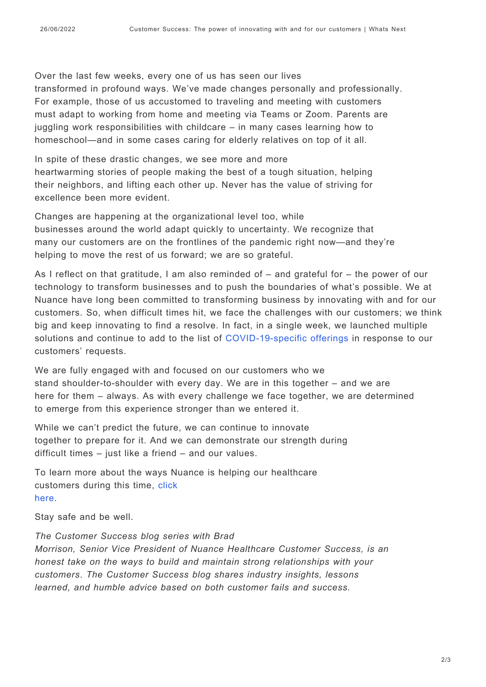Over the last few weeks, every one of us has seen our lives transformed in profound ways. We've made changes personally and professionally. For example, those of us accustomed to traveling and meeting with customers must adapt to working from home and meeting via Teams or Zoom. Parents are juggling work responsibilities with childcare – in many cases learning how to homeschool—and in some cases caring for elderly relatives on top of it all.

In spite of these drastic changes, we see more and more heartwarming stories of people making the best of a tough situation, helping their neighbors, and lifting each other up. Never has the value of striving for excellence been more evident.

Changes are happening at the organizational level too, while businesses around the world adapt quickly to uncertainty. We recognize that many our customers are on the frontlines of the pandemic right now—and they're helping to move the rest of us forward; we are so grateful.

As I reflect on that gratitude, I am also reminded of – and grateful for – the power of our technology to transform businesses and to push the boundaries of what's possible. We at Nuance have long been committed to transforming business by innovating with and for our customers. So, when difficult times hit, we face the challenges with our customers; we think big and keep innovating to find a resolve. In fact, in a single week, we launched multiple solutions and continue to add to the list of [COVID-19-specific offerings](https://www.nuance.com/healthcare/campaign/customer-offers.html) in response to our customers' requests.

We are fully engaged with and focused on our customers who we stand shoulder-to-shoulder with every day. We are in this together – and we are here for them – always. As with every challenge we face together, we are determined to emerge from this experience stronger than we entered it.

While we can't predict the future, we can continue to innovate together to prepare for it. And we can demonstrate our strength during difficult times – just like a friend – and our values.

To learn more about the ways Nuance is helping our healthcare customers during this time, [click](https://www.nuance.com/healthcare/campaign/customer-offers.html) [here.](https://www.nuance.com/healthcare/campaign/customer-offers.html)

Stay safe and be well.

*The Customer Success blog series with Brad Morrison, Senior Vice President of Nuance Healthcare Customer Success, is an honest take on the ways to build and maintain strong relationships with your customers*. *The Customer Success blog shares industry insights, lessons learned, and humble advice based on both customer fails and success.*